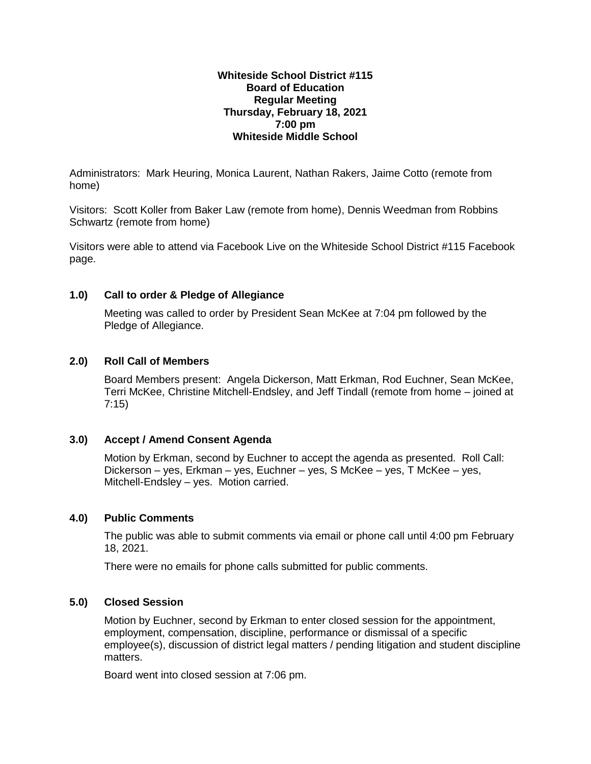## **Whiteside School District #115 Board of Education Regular Meeting Thursday, February 18, 2021 7:00 pm Whiteside Middle School**

Administrators: Mark Heuring, Monica Laurent, Nathan Rakers, Jaime Cotto (remote from home)

Visitors: Scott Koller from Baker Law (remote from home), Dennis Weedman from Robbins Schwartz (remote from home)

Visitors were able to attend via Facebook Live on the Whiteside School District #115 Facebook page.

## **1.0) Call to order & Pledge of Allegiance**

Meeting was called to order by President Sean McKee at 7:04 pm followed by the Pledge of Allegiance.

## **2.0) Roll Call of Members**

Board Members present: Angela Dickerson, Matt Erkman, Rod Euchner, Sean McKee, Terri McKee, Christine Mitchell-Endsley, and Jeff Tindall (remote from home – joined at 7:15)

# **3.0) Accept / Amend Consent Agenda**

Motion by Erkman, second by Euchner to accept the agenda as presented. Roll Call: Dickerson – yes, Erkman – yes, Euchner – yes, S McKee – yes, T McKee – yes, Mitchell-Endsley – yes. Motion carried.

### **4.0) Public Comments**

The public was able to submit comments via email or phone call until 4:00 pm February 18, 2021.

There were no emails for phone calls submitted for public comments.

### **5.0) Closed Session**

Motion by Euchner, second by Erkman to enter closed session for the appointment, employment, compensation, discipline, performance or dismissal of a specific employee(s), discussion of district legal matters / pending litigation and student discipline matters.

Board went into closed session at 7:06 pm.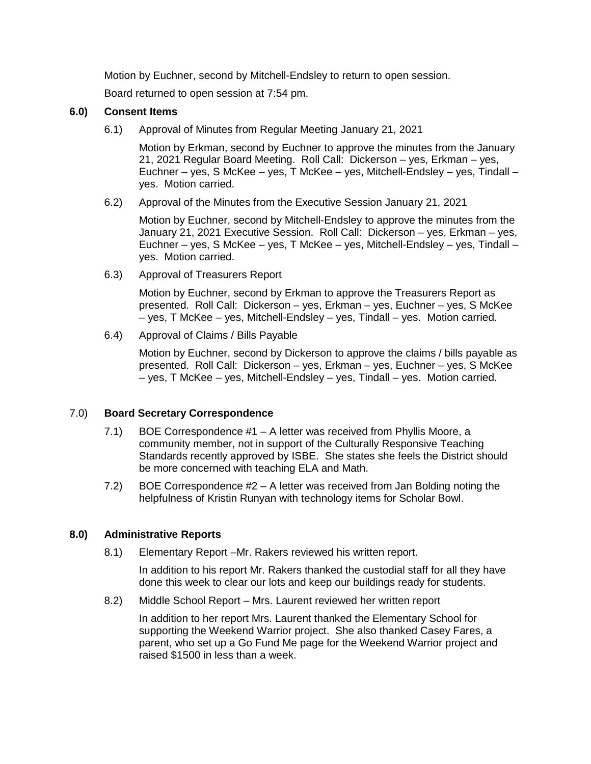Motion by Euchner, second by Mitchell-Endsley to return to open session.

Board returned to open session at 7:54 pm.

# **6.0) Consent Items**

6.1) Approval of Minutes from Regular Meeting January 21, 2021

Motion by Erkman, second by Euchner to approve the minutes from the January 21, 2021 Regular Board Meeting. Roll Call: Dickerson – yes, Erkman – yes, Euchner – yes, S McKee – yes, T McKee – yes, Mitchell-Endsley – yes, Tindall – yes. Motion carried.

6.2) Approval of the Minutes from the Executive Session January 21, 2021

Motion by Euchner, second by Mitchell-Endsley to approve the minutes from the January 21, 2021 Executive Session. Roll Call: Dickerson – yes, Erkman – yes, Euchner – yes, S McKee – yes, T McKee – yes, Mitchell-Endsley – yes, Tindall – yes. Motion carried.

6.3) Approval of Treasurers Report

Motion by Euchner, second by Erkman to approve the Treasurers Report as presented. Roll Call: Dickerson – yes, Erkman – yes, Euchner – yes, S McKee – yes, T McKee – yes, Mitchell-Endsley – yes, Tindall – yes. Motion carried.

6.4) Approval of Claims / Bills Payable

Motion by Euchner, second by Dickerson to approve the claims / bills payable as presented. Roll Call: Dickerson – yes, Erkman – yes, Euchner – yes, S McKee – yes, T McKee – yes, Mitchell-Endsley – yes, Tindall – yes. Motion carried.

# 7.0) **Board Secretary Correspondence**

- 7.1) BOE Correspondence #1 A letter was received from Phyllis Moore, a community member, not in support of the Culturally Responsive Teaching Standards recently approved by ISBE. She states she feels the District should be more concerned with teaching ELA and Math.
- 7.2) BOE Correspondence #2 A letter was received from Jan Bolding noting the helpfulness of Kristin Runyan with technology items for Scholar Bowl.

# **8.0) Administrative Reports**

8.1) Elementary Report –Mr. Rakers reviewed his written report.

In addition to his report Mr. Rakers thanked the custodial staff for all they have done this week to clear our lots and keep our buildings ready for students.

8.2) Middle School Report – Mrs. Laurent reviewed her written report

In addition to her report Mrs. Laurent thanked the Elementary School for supporting the Weekend Warrior project. She also thanked Casey Fares, a parent, who set up a Go Fund Me page for the Weekend Warrior project and raised \$1500 in less than a week.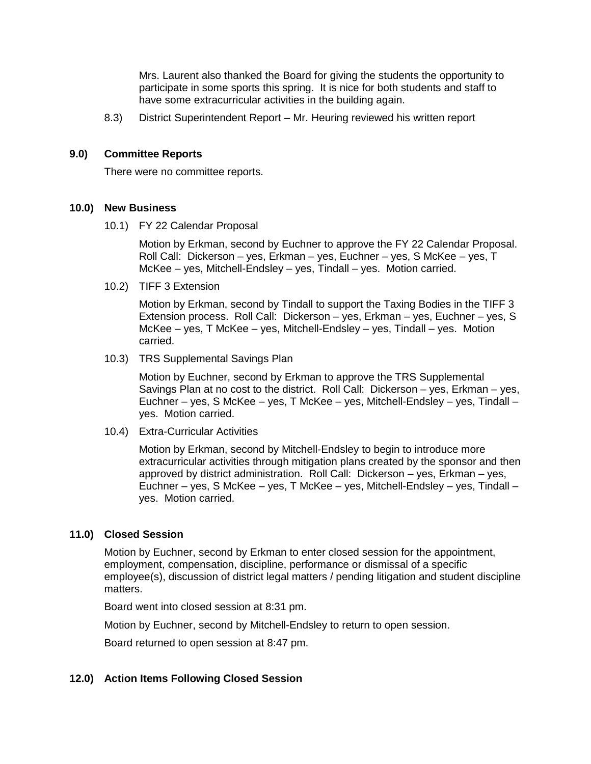Mrs. Laurent also thanked the Board for giving the students the opportunity to participate in some sports this spring. It is nice for both students and staff to have some extracurricular activities in the building again.

8.3) District Superintendent Report – Mr. Heuring reviewed his written report

### **9.0) Committee Reports**

There were no committee reports.

#### **10.0) New Business**

10.1) FY 22 Calendar Proposal

Motion by Erkman, second by Euchner to approve the FY 22 Calendar Proposal. Roll Call: Dickerson – yes, Erkman – yes, Euchner – yes, S McKee – yes, T McKee – yes, Mitchell-Endsley – yes, Tindall – yes. Motion carried.

10.2) TIFF 3 Extension

Motion by Erkman, second by Tindall to support the Taxing Bodies in the TIFF 3 Extension process. Roll Call: Dickerson – yes, Erkman – yes, Euchner – yes, S McKee – yes, T McKee – yes, Mitchell-Endsley – yes, Tindall – yes. Motion carried.

10.3) TRS Supplemental Savings Plan

Motion by Euchner, second by Erkman to approve the TRS Supplemental Savings Plan at no cost to the district. Roll Call: Dickerson – yes, Erkman – yes, Euchner – yes, S McKee – yes, T McKee – yes, Mitchell-Endsley – yes, Tindall – yes. Motion carried.

10.4) Extra-Curricular Activities

Motion by Erkman, second by Mitchell-Endsley to begin to introduce more extracurricular activities through mitigation plans created by the sponsor and then approved by district administration. Roll Call: Dickerson – yes, Erkman – yes, Euchner – yes, S McKee – yes, T McKee – yes, Mitchell-Endsley – yes, Tindall – yes. Motion carried.

### **11.0) Closed Session**

Motion by Euchner, second by Erkman to enter closed session for the appointment, employment, compensation, discipline, performance or dismissal of a specific employee(s), discussion of district legal matters / pending litigation and student discipline matters.

Board went into closed session at 8:31 pm.

Motion by Euchner, second by Mitchell-Endsley to return to open session.

Board returned to open session at 8:47 pm.

## **12.0) Action Items Following Closed Session**